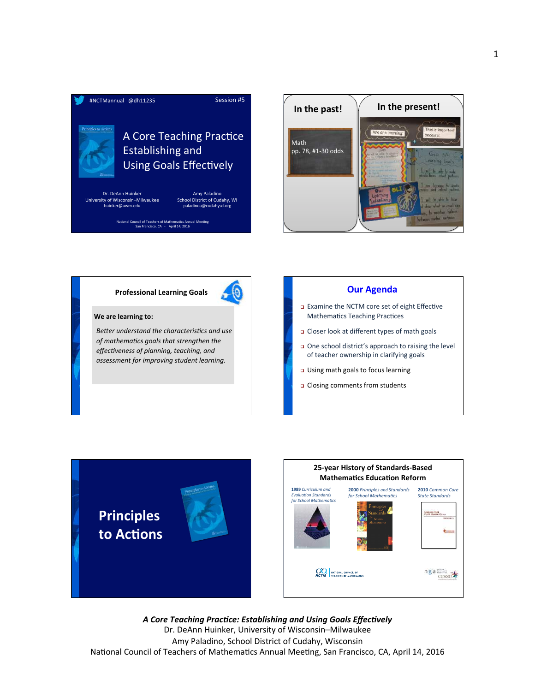









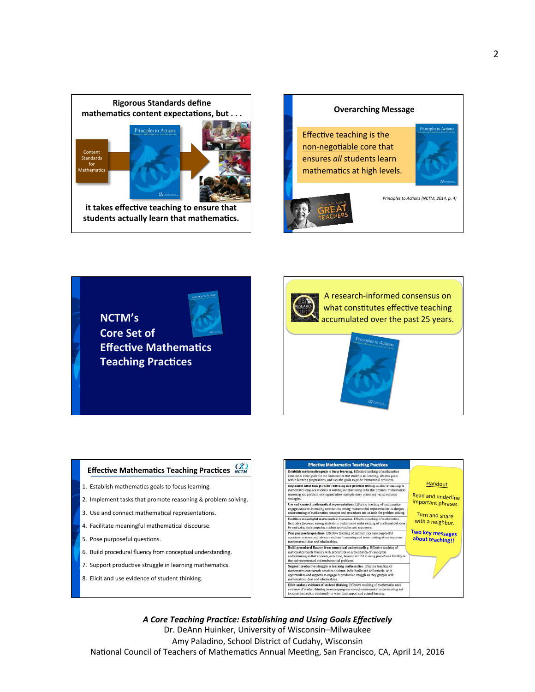



**NCTM's Core Set of Effective Mathematics Teaching Practices** 





# **Effective Mathematics Teaching Practices**  $\overrightarrow{OC}$

- 1. Establish mathematics goals to focus learning.
- 2. Implement tasks that promote reasoning & problem solving.
- 3. Use and connect mathematical representations.
- 4. Facilitate meaningful mathematical discourse.
- 5. Pose purposeful questions.
- 6. Build procedural fluency from conceptual understanding.
- 7. Support productive struggle in learning mathematics.
- 8. Elicit and use evidence of student thinking.

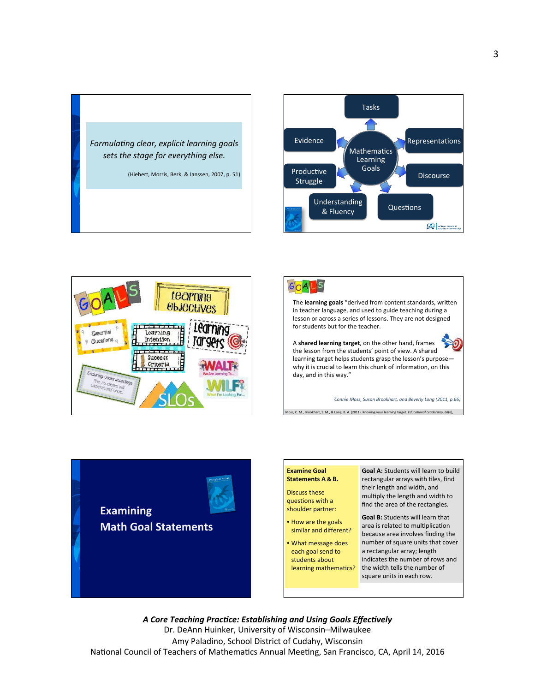







The **learning goals** "derived from content standards, written in teacher language, and used to guide teaching during a lesson or across a series of lessons. They are not designed for students but for the teacher.

A shared learning target, on the other hand, frames the lesson from the students' point of view. A shared learning target helps students grasp the lesson's purposewhy it is crucial to learn this chunk of information, on this day, and in this way."

ss, C. M., Brookhart, S. M., & Long, B. A. (2011). Knowing your learning target. *Educational Leadership*, 68(6)

Connie Moss, Susan Brookhart, and Beverly Long (2011, p.66)

**Examining Math Goal Statements** 



66-69. 

Discuss these questions with a shoulder partner:

• How are the goals similar and different?

• What message does each goal send to students about learning mathematics?

**Goal A:** Students will learn to build rectangular arrays with tiles, find their length and width, and multiply the length and width to find the area of the rectangles.

**Goal B:** Students will learn that area is related to multiplication because area involves finding the number of square units that cover a rectangular array; length indicates the number of rows and the width tells the number of square units in each row.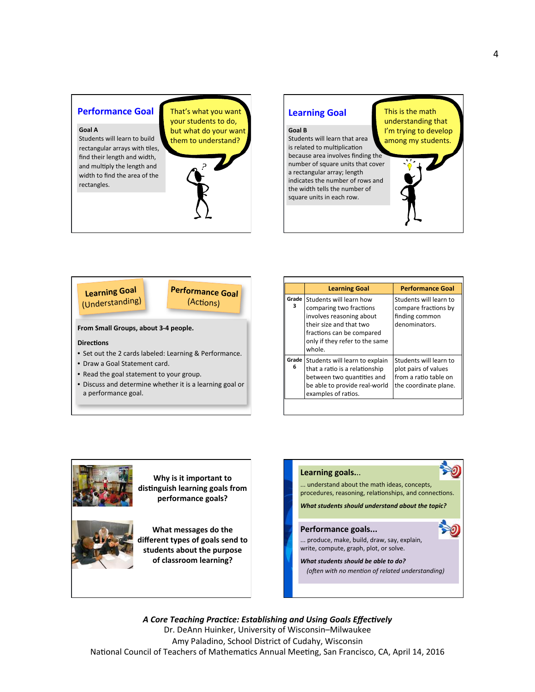# **Performance Goal**

## **Goal A**

Students will learn to build rectangular arrays with tiles, find their length and width, and multiply the length and width to find the area of the rectangles. 

That's what you want your students to do, but what do your want them to understand?



# **Goal B**

Students will learn that area is related to multiplication because area involves finding the number of square units that cover a rectangular array; length indicates the number of rows and the width tells the number of square units in each row.

This is the math understanding that I'm trying to develop among my students.



From Small Groups, about 3-4 people.

#### **Directions**

- Set out the 2 cards labeled: Learning & Performance.
- Draw a Goal Statement card.
- Read the goal statement to your group.
- Discuss and determine whether it is a learning goal or a performance goal.

|            | <b>Learning Goal</b>                                                                                                                                                               | <b>Performance Goal</b>                                                                          |
|------------|------------------------------------------------------------------------------------------------------------------------------------------------------------------------------------|--------------------------------------------------------------------------------------------------|
| Grade<br>з | Students will learn how<br>comparing two fractions<br>involves reasoning about<br>their size and that two<br>fractions can be compared<br>only if they refer to the same<br>whole. | Students will learn to<br>compare fractions by<br>finding common<br>denominators.                |
| Grade<br>6 | Students will learn to explain<br>that a ratio is a relationship<br>between two quantities and<br>be able to provide real-world<br>examples of ratios.                             | Students will learn to<br>plot pairs of values<br>from a ratio table on<br>the coordinate plane. |



**Why is it important to** distinguish learning goals from **performance goals?** 



**What messages do the** different types of goals send to students about the purpose of classroom learning?



**What students should be able to do?** *(often with no mention of related understanding)*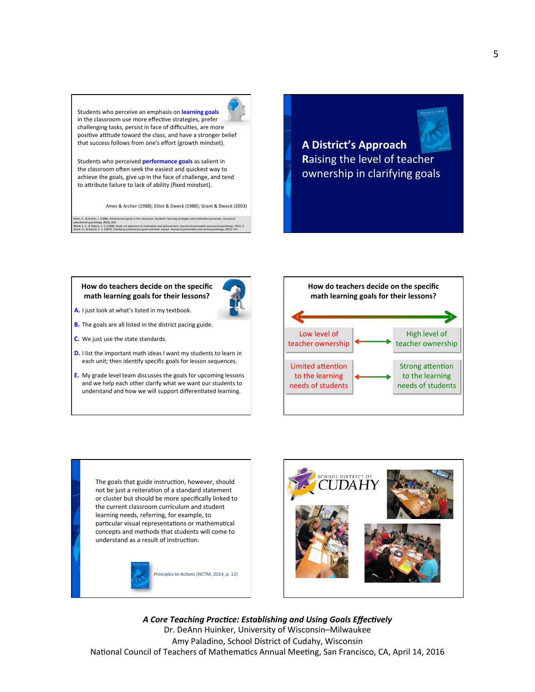Students who perceive an emphasis on **learning goals** in the classroom use more effective strategies, prefer challenging tasks, persist in face of difficulties, are more positive attitude toward the class, and have a stronger belief that success follows from one's effort (growth mindset).

Students who perceived **performance goals** as salient in the classroom often seek the easiest and quickest way to achieve the goals, give up in the face of challenge, and tend to attribute failure to lack of ability (fixed mindset).

Ames & Archer (1988); Filiot & Dweck (1988); Grant & Dweck (2003).

Ames, C., & Archer, J. (1988). Achievement goals in the classroom: Students' learning strategies and motivation processes. Journal of educational psychology, 80(3), 260. Elliott, E. S., & Dweck, C. S. (1988). Goals: an approach to motivation and achievement. Journal of personality and social psychology, 54(1), 5. Grant, H., & Dweck, C. S. (2003). Clarifying achievement goals and their impact. Journal of personality and social psychology, 85(3), 541.

# **A District's Approach Raising the level of teacher** ownership in clarifying goals

# How do teachers decide on the specific math learning goals for their lessons?



**B.** The goals are all listed in the district pacing guide.

**A.** I just look at what's listed in my textbook.

- **C.** We just use the state standards.
- **D.** I list the important math ideas I want my students to learn in each unit; then identify specific goals for lesson sequences.
- **E.** My grade level team discusses the goals for upcoming lessons and we help each other clarify what we want our students to understand and how we will support differentiated learning.



The goals that guide instruction, however, should not be just a reiteration of a standard statement or cluster but should be more specifically linked to the current classroom curriculum and student learning needs, referring, for example, to particular visual representations or mathematical concepts and methods that students will come to understand as a result of instruction.



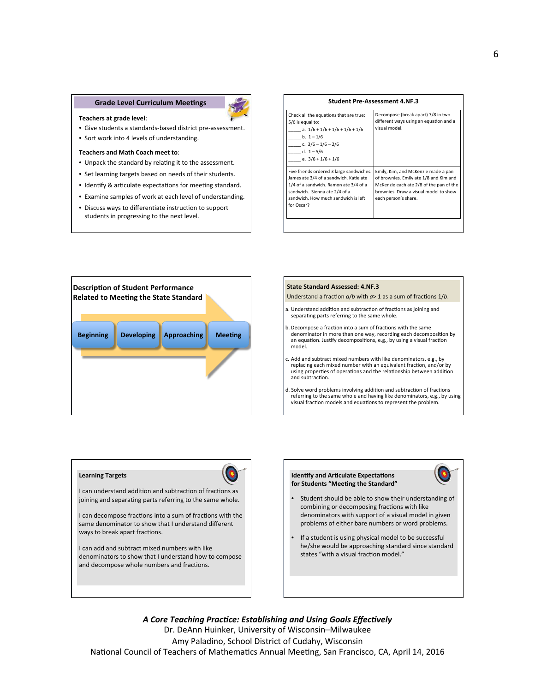# Grade Level Curriculum Meetings **Communication Communication** Student Pre-Assessment 4.NF.3



- Give students a standards-based district pre-assessment.
- Sort work into 4 levels of understanding.

### **Teachers and Math Coach meet to:**

- Unpack the standard by relating it to the assessment.
- Set learning targets based on needs of their students.
- Identify & articulate expectations for meeting standard.
- Examine samples of work at each level of understanding.
- Discuss ways to differentiate instruction to support students in progressing to the next level.

| Check all the equations that are true:<br>5/6 is equal to:<br>a. $1/6 + 1/6 + 1/6 + 1/6 + 1/6$<br>b. $1 - 1/6$<br>c. $3/6 - 1/6 - 2/6$<br>d. $1 - 5/6$<br>e. $3/6 + 1/6 + 1/6$                                    | Decompose (break apart) 7/8 in two<br>different ways using an equation and a<br>visual model.                                                                                             |
|-------------------------------------------------------------------------------------------------------------------------------------------------------------------------------------------------------------------|-------------------------------------------------------------------------------------------------------------------------------------------------------------------------------------------|
| Five friends ordered 3 large sandwiches.<br>James ate 3/4 of a sandwich. Katie ate<br>1/4 of a sandwich. Ramon ate 3/4 of a<br>sandwich. Sienna ate 2/4 of a<br>sandwich. How much sandwich is left<br>for Oscar? | Emily, Kim, and McKenzie made a pan<br>of brownies. Emily ate 1/8 and Kim and<br>McKenzie each ate 2/8 of the pan of the<br>brownies. Draw a visual model to show<br>each person's share. |
|                                                                                                                                                                                                                   |                                                                                                                                                                                           |



#### **State Standard Assessed: 4.NF.3**

Understand a fraction  $a/b$  with  $a>1$  as a sum of fractions  $1/b$ .

- a. Understand addition and subtraction of fractions as joining and separating parts referring to the same whole.
- b. Decompose a fraction into a sum of fractions with the same denominator in more than one way, recording each decomposition by an equation. Justify decompositions, e.g., by using a visual fraction model.
- Add and subtract mixed numbers with like denominators, e.g., by replacing each mixed number with an equivalent fraction, and/or by using properties of operations and the relationship between addition and subtraction.
- d. Solve word problems involving addition and subtraction of fractions referring to the same whole and having like denominators, e.g., by using visual fraction models and equations to represent the problem.

#### **Learning Targets**



I can understand addition and subtraction of fractions as joining and separating parts referring to the same whole.

I can decompose fractions into a sum of fractions with the same denominator to show that I understand different ways to break apart fractions.

I can add and subtract mixed numbers with like denominators to show that I understand how to compose and decompose whole numbers and fractions.

#### **Identify and Articulate Expectations** for Students "Meeting the Standard"



- Student should be able to show their understanding of combining or decomposing fractions with like denominators with support of a visual model in given problems of either bare numbers or word problems.
- If a student is using physical model to be successful he/she would be approaching standard since standard states "with a visual fraction model."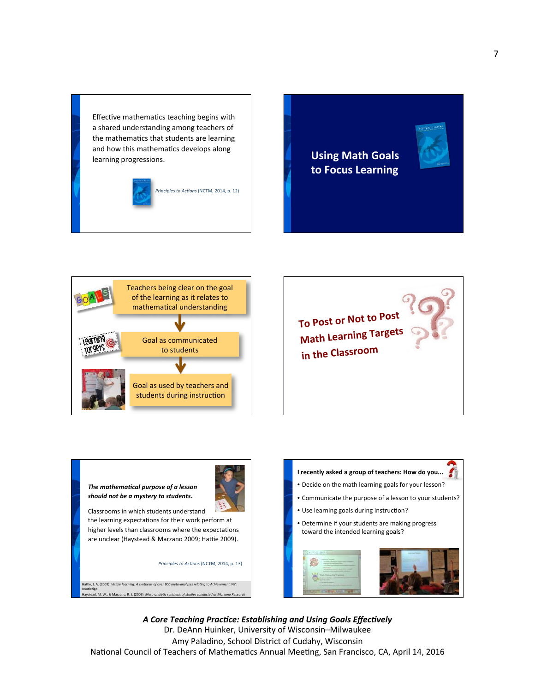Effective mathematics teaching begins with a shared understanding among teachers of the mathematics that students are learning and how this mathematics develops along learning progressions.



*Principles to Actions* (NCTM, 2014, p. 12)

**Using Math Goals to Focus Learning** 





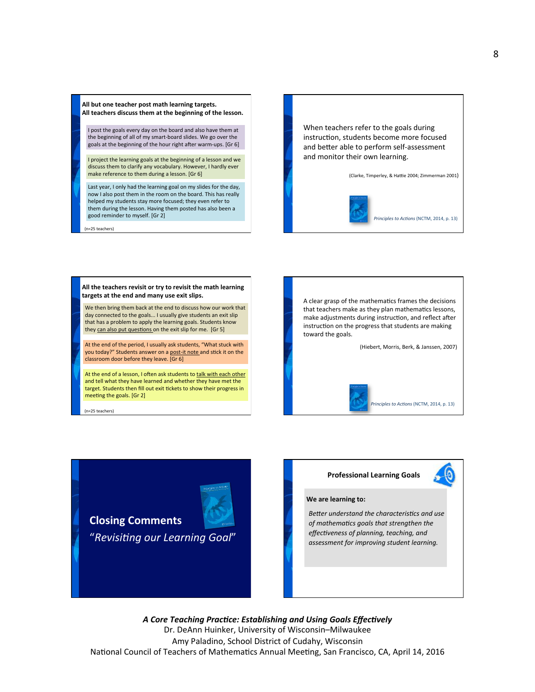All but one teacher post math learning targets. All teachers discuss them at the beginning of the lesson.

I post the goals every day on the board and also have them at the beginning of all of my smart-board slides. We go over the goals at the beginning of the hour right after warm-ups. [Gr 6]

I project the learning goals at the beginning of a lesson and we discuss them to clarify any vocabulary. However, I hardly ever make reference to them during a lesson. [Gr 6]

Last year, I only had the learning goal on my slides for the day, now I also post them in the room on the board. This has really helped my students stay more focused; they even refer to them during the lesson. Having them posted has also been a good reminder to myself. [Gr 2]

 (n=25 teachers) 

When teachers refer to the goals during instruction, students become more focused and better able to perform self-assessment and monitor their own learning.

(Clarke, Timperley, & Hattie 2004; Zimmerman 2001)



We then bring them back at the end to discuss how our work that day connected to the goals... I usually give students an exit slip that has a problem to apply the learning goals. Students know they can also put questions on the exit slip for me. [Gr 5] All the teachers revisit or try to revisit the math learning targets at the end and many use exit slips.

At the end of the period, I usually ask students, "What stuck with you today?" Students answer on a **post-it note** and stick it on the classroom door before they leave. [Gr 6]

At the end of a lesson, I often ask students to talk with each other and tell what they have learned and whether they have met the target. Students then fill out exit tickets to show their progress in meeting the goals. [Gr 2]

 (n=25 teachers) 



**Closing Comments** "Revisiting our Learning Goal"

## **Professional Learning Goals**

### **We are learning to:**

**Better understand the characteristics and use** of mathematics goals that strengthen the *effectiveness of planning, teaching, and* assessment for improving student learning.